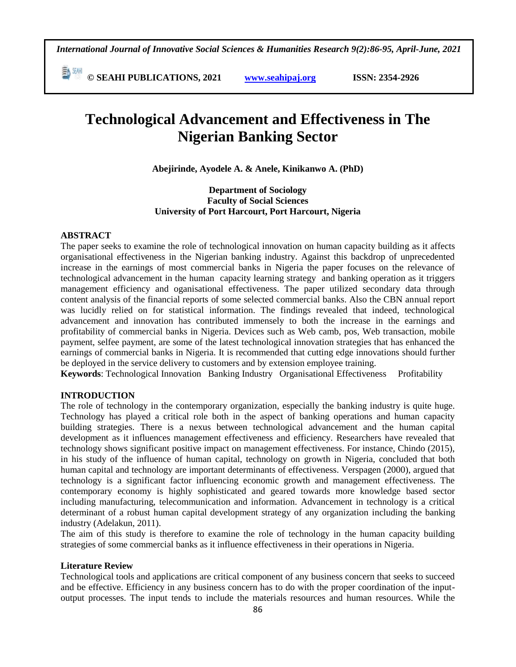*International Journal of Innovative Social Sciences & Humanities Research 9(2):86-95, April-June, 2021*

**E**  $\frac{54}{30}$  **CM i i**s **C** SEAHI PUBLICATIONS, 2021 *www.seahipaj.org* **<b>issn:** 2354-2926

# **Technological Advancement and Effectiveness in The Nigerian Banking Sector**

**Abejirinde, Ayodele A. & Anele, Kinikanwo A. (PhD)**

## **Department of Sociology Faculty of Social Sciences University of Port Harcourt, Port Harcourt, Nigeria**

#### **ABSTRACT**

The paper seeks to examine the role of technological innovation on human capacity building as it affects organisational effectiveness in the Nigerian banking industry. Against this backdrop of unprecedented increase in the earnings of most commercial banks in Nigeria the paper focuses on the relevance of technological advancement in the human capacity learning strategy and banking operation as it triggers management efficiency and oganisational effectiveness. The paper utilized secondary data through content analysis of the financial reports of some selected commercial banks. Also the CBN annual report was lucidly relied on for statistical information. The findings revealed that indeed, technological advancement and innovation has contributed immensely to both the increase in the earnings and profitability of commercial banks in Nigeria. Devices such as Web camb, pos, Web transaction, mobile payment, selfee payment, are some of the latest technological innovation strategies that has enhanced the earnings of commercial banks in Nigeria. It is recommended that cutting edge innovations should further be deployed in the service delivery to customers and by extension employee training.

**Keywords**: Technological Innovation Banking Industry Organisational Effectiveness Profitability

## **INTRODUCTION**

The role of technology in the contemporary organization, especially the banking industry is quite huge. Technology has played a critical role both in the aspect of banking operations and human capacity building strategies. There is a nexus between technological advancement and the human capital development as it influences management effectiveness and efficiency. Researchers have revealed that technology shows significant positive impact on management effectiveness. For instance, Chindo (2015), in his study of the influence of human capital, technology on growth in Nigeria, concluded that both human capital and technology are important determinants of effectiveness. Verspagen (2000), argued that technology is a significant factor influencing economic growth and management effectiveness. The contemporary economy is highly sophisticated and geared towards more knowledge based sector including manufacturing, telecommunication and information. Advancement in technology is a critical determinant of a robust human capital development strategy of any organization including the banking industry (Adelakun, 2011).

The aim of this study is therefore to examine the role of technology in the human capacity building strategies of some commercial banks as it influence effectiveness in their operations in Nigeria.

## **Literature Review**

Technological tools and applications are critical component of any business concern that seeks to succeed and be effective. Efficiency in any business concern has to do with the proper coordination of the inputoutput processes. The input tends to include the materials resources and human resources. While the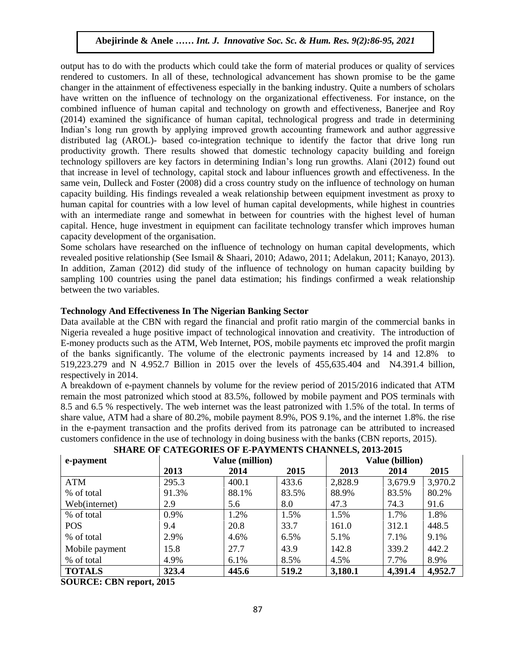output has to do with the products which could take the form of material produces or quality of services rendered to customers. In all of these, technological advancement has shown promise to be the game changer in the attainment of effectiveness especially in the banking industry. Quite a numbers of scholars have written on the influence of technology on the organizational effectiveness. For instance, on the combined influence of human capital and technology on growth and effectiveness, Banerjee and Roy (2014) examined the significance of human capital, technological progress and trade in determining Indian's long run growth by applying improved growth accounting framework and author aggressive distributed lag (AROL)- based co-integration technique to identify the factor that drive long run productivity growth. There results showed that domestic technology capacity building and foreign technology spillovers are key factors in determining Indian's long run growths. Alani (2012) found out that increase in level of technology, capital stock and labour influences growth and effectiveness. In the same vein, Dulleck and Foster (2008) did a cross country study on the influence of technology on human capacity building. His findings revealed a weak relationship between equipment investment as proxy to human capital for countries with a low level of human capital developments, while highest in countries with an intermediate range and somewhat in between for countries with the highest level of human capital. Hence, huge investment in equipment can facilitate technology transfer which improves human capacity development of the organisation.

Some scholars have researched on the influence of technology on human capital developments, which revealed positive relationship (See Ismail & Shaari, 2010; Adawo, 2011; Adelakun, 2011; Kanayo, 2013). In addition, Zaman (2012) did study of the influence of technology on human capacity building by sampling 100 countries using the panel data estimation; his findings confirmed a weak relationship between the two variables.

## **Technology And Effectiveness In The Nigerian Banking Sector**

Data available at the CBN with regard the financial and profit ratio margin of the commercial banks in Nigeria revealed a huge positive impact of technological innovation and creativity. The introduction of E-money products such as the ATM, Web Internet, POS, mobile payments etc improved the profit margin of the banks significantly. The volume of the electronic payments increased by 14 and 12.8% to 519,223.279 and N 4.952.7 Billion in 2015 over the levels of 455,635.404 and N4.391.4 billion, respectively in 2014.

A breakdown of e-payment channels by volume for the review period of 2015/2016 indicated that ATM remain the most patronized which stood at 83.5%, followed by mobile payment and POS terminals with 8.5 and 6.5 % respectively. The web internet was the least patronized with 1.5% of the total. In terms of share value, ATM had a share of 80.2%, mobile payment 8.9%, POS 9.1%, and the internet 1.8%. the rise in the e-payment transaction and the profits derived from its patronage can be attributed to increased customers confidence in the use of technology in doing business with the banks (CBN reports, 2015).

| e-payment      | <b>Value (million)</b> |       |       | <b>Value (billion)</b> |         |         |
|----------------|------------------------|-------|-------|------------------------|---------|---------|
|                | 2013                   | 2014  | 2015  | 2013                   | 2014    | 2015    |
| <b>ATM</b>     | 295.3                  | 400.1 | 433.6 | 2,828.9                | 3,679.9 | 3,970.2 |
| % of total     | 91.3%                  | 88.1% | 83.5% | 88.9%                  | 83.5%   | 80.2%   |
| Web(internet)  | 2.9                    | 5.6   | 8.0   | 47.3                   | 74.3    | 91.6    |
| % of total     | 0.9%                   | 1.2%  | 1.5%  | 1.5%                   | 1.7%    | 1.8%    |
| <b>POS</b>     | 9.4                    | 20.8  | 33.7  | 161.0                  | 312.1   | 448.5   |
| % of total     | 2.9%                   | 4.6%  | 6.5%  | 5.1%                   | 7.1%    | 9.1%    |
| Mobile payment | 15.8                   | 27.7  | 43.9  | 142.8                  | 339.2   | 442.2   |
| % of total     | 4.9%                   | 6.1%  | 8.5%  | 4.5%                   | 7.7%    | 8.9%    |
| <b>TOTALS</b>  | 323.4                  | 445.6 | 519.2 | 3,180.1                | 4,391.4 | 4,952.7 |

## **SHARE OF CATEGORIES OF E-PAYMENTS CHANNELS, 2013-2015**

**SOURCE: CBN report, 2015**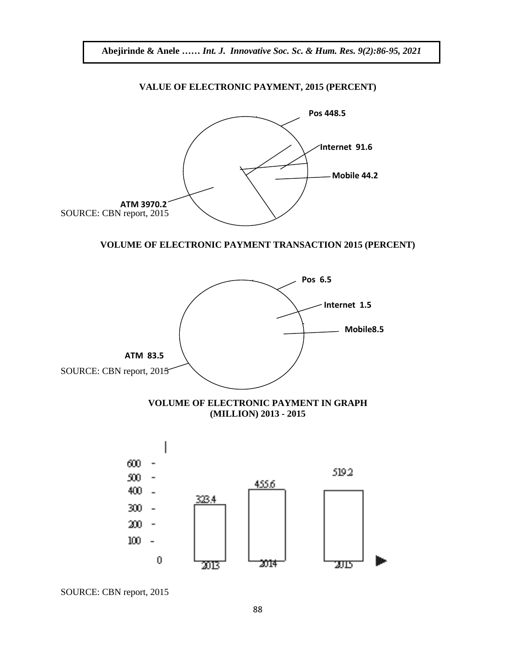

SOURCE: CBN report, 2015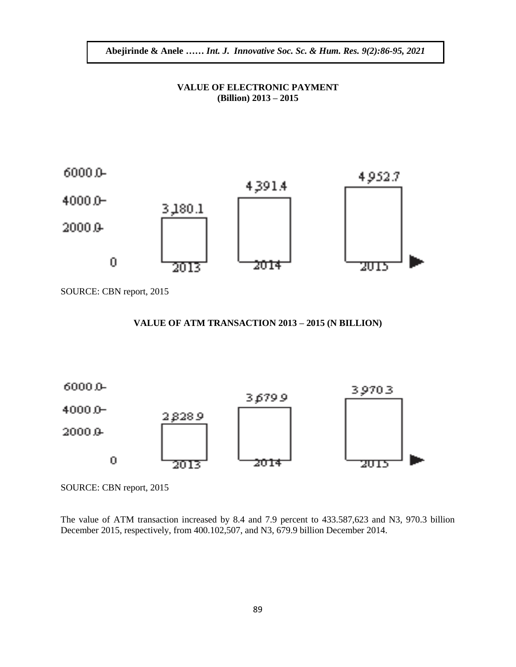## **VALUE OF ELECTRONIC PAYMENT (Billion)** 2013 – 2015



SOURCE: CBN report, 2015

#### **VALUE OF ATM TRANSACTION 2013 – 2015 (N BILLION)**



SOURCE: CBN report, 2015

The value of ATM transaction increased by 8.4 and 7.9 percent to 433.587,623 and N3, 970.3 billion December 2015, respectively, from 400.102,507, and N3, 679.9 billion December 2014.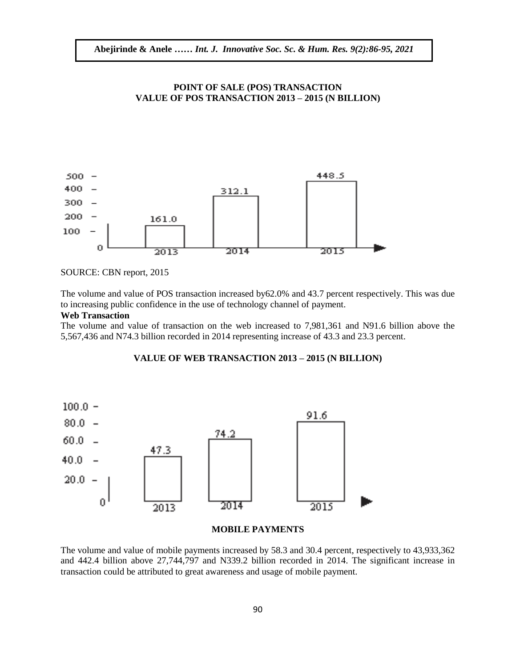## **POINT OF SALE (POS) TRANSACTION VALUE OF POS TRANSACTION 2013 – 2015 (N BILLION)**



SOURCE: CBN report, 2015

The volume and value of POS transaction increased by62.0% and 43.7 percent respectively. This was due to increasing public confidence in the use of technology channel of payment.

### **Web Transaction**

The volume and value of transaction on the web increased to 7,981,361 and N91.6 billion above the 5,567,436 and N74.3 billion recorded in 2014 representing increase of 43.3 and 23.3 percent.

#### **VALUE OF WEB TRANSACTION 2013 – 2015 (N BILLION)**



#### **MOBILE PAYMENTS**

The volume and value of mobile payments increased by 58.3 and 30.4 percent, respectively to 43,933,362 and 442.4 billion above 27,744,797 and N339.2 billion recorded in 2014. The significant increase in transaction could be attributed to great awareness and usage of mobile payment.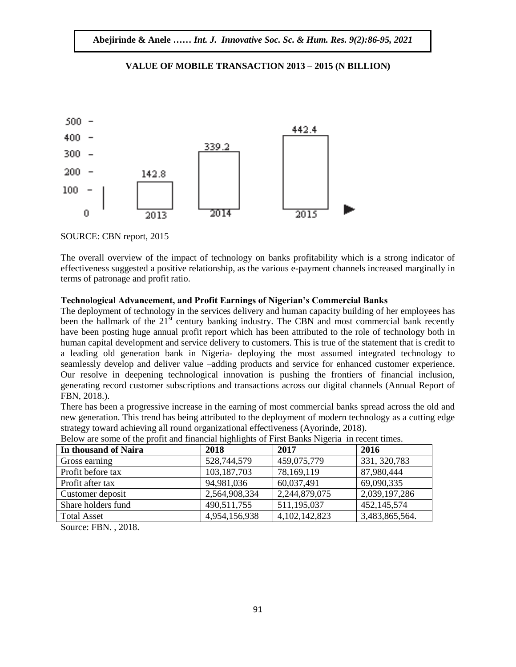

## **VALUE OF MOBILE TRANSACTION 2013 – 2015 (N BILLION)**

SOURCE: CBN report, 2015

The overall overview of the impact of technology on banks profitability which is a strong indicator of effectiveness suggested a positive relationship, as the various e-payment channels increased marginally in terms of patronage and profit ratio.

## **Technological Advancement, and Profit Earnings of Nigerian's Commercial Banks**

The deployment of technology in the services delivery and human capacity building of her employees has been the hallmark of the  $21<sup>st</sup>$  century banking industry. The CBN and most commercial bank recently have been posting huge annual profit report which has been attributed to the role of technology both in human capital development and service delivery to customers. This is true of the statement that is credit to a leading old generation bank in Nigeria- deploying the most assumed integrated technology to seamlessly develop and deliver value –adding products and service for enhanced customer experience. Our resolve in deepening technological innovation is pushing the frontiers of financial inclusion, generating record customer subscriptions and transactions across our digital channels (Annual Report of FBN, 2018.).

There has been a progressive increase in the earning of most commercial banks spread across the old and new generation. This trend has being attributed to the deployment of modern technology as a cutting edge strategy toward achieving all round organizational effectiveness (Ayorinde, 2018).

| In thousand of Naira | 2018          | 2017             | 2016           |
|----------------------|---------------|------------------|----------------|
| Gross earning        | 528,744,579   | 459,075,779      | 331, 320, 783  |
| Profit before tax    | 103, 187, 703 | 78,169,119       | 87,980,444     |
| Profit after tax     | 94,981,036    | 60,037,491       | 69,090,335     |
| Customer deposit     | 2,564,908,334 | 2,244,879,075    | 2,039,197,286  |
| Share holders fund   | 490,511,755   | 511,195,037      | 452,145,574    |
| <b>Total Asset</b>   | 4,954,156,938 | 4, 102, 142, 823 | 3,483,865,564. |

| Below are some of the profit and financial highlights of First Banks Nigeria in recent times. |  |  |  |
|-----------------------------------------------------------------------------------------------|--|--|--|

Source: FBN. , 2018.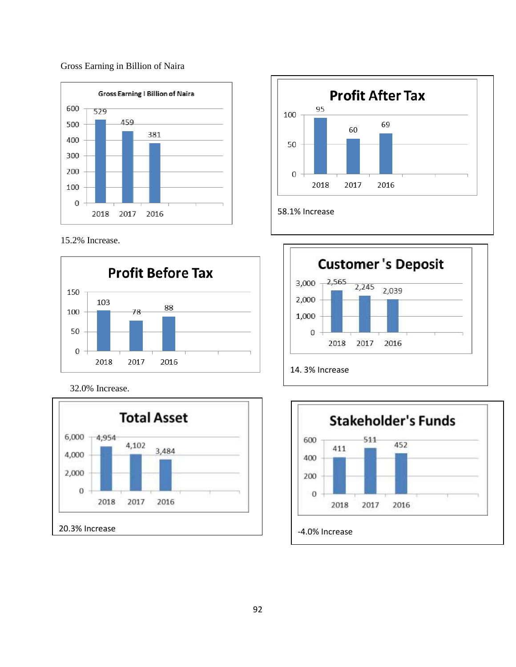## Gross Earning in Billion of Naira



15.2% Increase.



32.0% Increase.







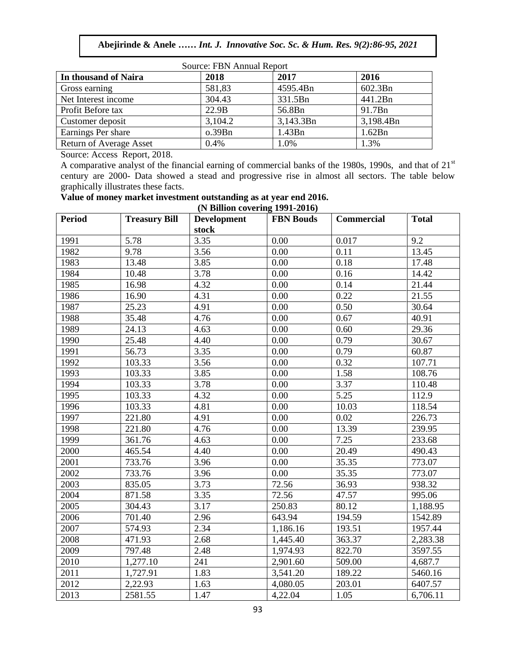| Source: FBN Annual Report      |         |           |           |  |  |
|--------------------------------|---------|-----------|-----------|--|--|
| In thousand of Naira           | 2018    | 2017      | 2016      |  |  |
| Gross earning                  | 581,83  | 4595.4Bn  | 602.3Bn   |  |  |
| Net Interest income            | 304.43  | 331.5Bn   | 441.2Bn   |  |  |
| Profit Before tax              | 22.9B   | 56.8Bn    | 91.7Bn    |  |  |
| Customer deposit               | 3,104.2 | 3,143.3Bn | 3,198.4Bn |  |  |
| Earnings Per share             | o.39Bn  | 1.43Bn    | 1.62Bn    |  |  |
| <b>Return of Average Asset</b> | 0.4%    | 1.0%      | 1.3%      |  |  |

Source: Access Report, 2018.

A comparative analyst of the financial earning of commercial banks of the 1980s, 1990s, and that of 21<sup>st</sup> century are 2000- Data showed a stead and progressive rise in almost all sectors. The table below graphically illustrates these facts.

# **Value of money market investment outstanding as at year end 2016.**

| (N Billion covering 1991-2016) |                      |                    |                  |                   |              |  |
|--------------------------------|----------------------|--------------------|------------------|-------------------|--------------|--|
| <b>Period</b>                  | <b>Treasury Bill</b> | <b>Development</b> | <b>FBN</b> Bouds | <b>Commercial</b> | <b>Total</b> |  |
|                                |                      | stock              |                  |                   |              |  |
| 1991                           | 5.78                 | 3.35               | 0.00             | 0.017             | 9.2          |  |
| 1982                           | 9.78                 | 3.56               | 0.00             | 0.11              | 13.45        |  |
| 1983                           | 13.48                | $\overline{3.85}$  | 0.00             | 0.18              | 17.48        |  |
| 1984                           | 10.48                | 3.78               | 0.00             | 0.16              | 14.42        |  |
| 1985                           | 16.98                | 4.32               | 0.00             | 0.14              | 21.44        |  |
| 1986                           | 16.90                | 4.31               | 0.00             | 0.22              | 21.55        |  |
| 1987                           | 25.23                | 4.91               | 0.00             | 0.50              | 30.64        |  |
| 1988                           | 35.48                | 4.76               | 0.00             | 0.67              | 40.91        |  |
| 1989                           | 24.13                | 4.63               | 0.00             | 0.60              | 29.36        |  |
| 1990                           | 25.48                | 4.40               | 0.00             | 0.79              | 30.67        |  |
| 1991                           | 56.73                | 3.35               | 0.00             | 0.79              | 60.87        |  |
| 1992                           | 103.33               | 3.56               | 0.00             | 0.32              | 107.71       |  |
| 1993                           | 103.33               | 3.85               | 0.00             | 1.58              | 108.76       |  |
| 1994                           | 103.33               | 3.78               | 0.00             | 3.37              | 110.48       |  |
| 1995                           | 103.33               | 4.32               | 0.00             | 5.25              | 112.9        |  |
| 1996                           | 103.33               | 4.81               | 0.00             | 10.03             | 118.54       |  |
| 1997                           | 221.80               | 4.91               | 0.00             | 0.02              | 226.73       |  |
| 1998                           | 221.80               | 4.76               | 0.00             | 13.39             | 239.95       |  |
| 1999                           | 361.76               | 4.63               | 0.00             | 7.25              | 233.68       |  |
| 2000                           | 465.54               | 4.40               | 0.00             | 20.49             | 490.43       |  |
| 2001                           | 733.76               | 3.96               | 0.00             | 35.35             | 773.07       |  |
| 2002                           | 733.76               | 3.96               | 0.00             | 35.35             | 773.07       |  |
| 2003                           | 835.05               | 3.73               | 72.56            | 36.93             | 938.32       |  |
| 2004                           | 871.58               | 3.35               | 72.56            | 47.57             | 995.06       |  |
| 2005                           | 304.43               | 3.17               | 250.83           | 80.12             | 1,188.95     |  |
| 2006                           | 701.40               | 2.96               | 643.94           | 194.59            | 1542.89      |  |
| 2007                           | 574.93               | 2.34               | 1,186.16         | 193.51            | 1957.44      |  |
| 2008                           | 471.93               | 2.68               | 1,445.40         | 363.37            | 2,283.38     |  |
| 2009                           | 797.48               | 2.48               | 1,974.93         | 822.70            | 3597.55      |  |
| 2010                           | 1,277.10             | 241                | 2,901.60         | 509.00            | 4,687.7      |  |
| 2011                           | 1,727.91             | 1.83               | 3,541.20         | 189.22            | 5460.16      |  |
| 2012                           | 2,22.93              | 1.63               | 4,080.05         | 203.01            | 6407.57      |  |
| 2013                           | 2581.55              | 1.47               | 4,22.04          | 1.05              | 6,706.11     |  |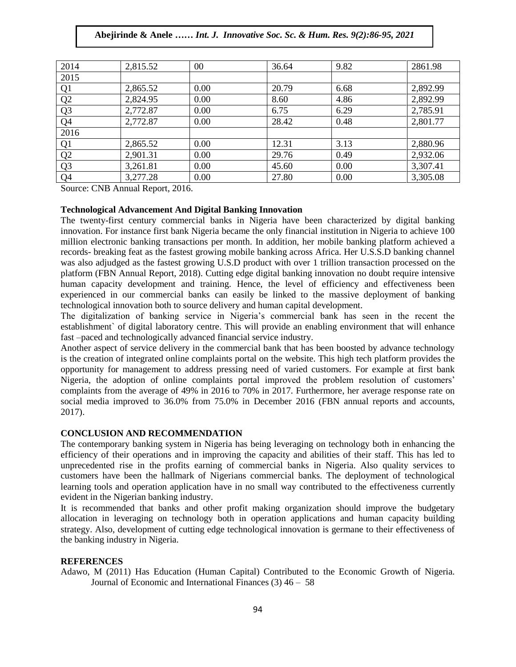| 2014             | 2,815.52 | 00   | 36.64 | 9.82 | 2861.98  |
|------------------|----------|------|-------|------|----------|
| 2015             |          |      |       |      |          |
| $\overline{Q}$ 1 | 2,865.52 | 0.00 | 20.79 | 6.68 | 2,892.99 |
| Q2               | 2,824.95 | 0.00 | 8.60  | 4.86 | 2,892.99 |
| Q <sub>3</sub>   | 2,772.87 | 0.00 | 6.75  | 6.29 | 2,785.91 |
| Q <sub>4</sub>   | 2,772.87 | 0.00 | 28.42 | 0.48 | 2,801.77 |
| 2016             |          |      |       |      |          |
| $\overline{Q}$ 1 | 2,865.52 | 0.00 | 12.31 | 3.13 | 2,880.96 |
| Q2               | 2,901.31 | 0.00 | 29.76 | 0.49 | 2,932.06 |
| Q <sub>3</sub>   | 3,261.81 | 0.00 | 45.60 | 0.00 | 3,307.41 |
| Q <sub>4</sub>   | 3,277.28 | 0.00 | 27.80 | 0.00 | 3,305.08 |

Source: CNB Annual Report, 2016.

## **Technological Advancement And Digital Banking Innovation**

The twenty-first century commercial banks in Nigeria have been characterized by digital banking innovation. For instance first bank Nigeria became the only financial institution in Nigeria to achieve 100 million electronic banking transactions per month. In addition, her mobile banking platform achieved a records- breaking feat as the fastest growing mobile banking across Africa. Her U.S.S.D banking channel was also adjudged as the fastest growing U.S.D product with over 1 trillion transaction processed on the platform (FBN Annual Report, 2018). Cutting edge digital banking innovation no doubt require intensive human capacity development and training. Hence, the level of efficiency and effectiveness been  $expherical$  in our commercial banks can easily be linked to the massive deployment of banking technological innovation both to source delivery and human capital development.

The digitalization of banking service in Nigeria's commercial bank has seen in the recent the establishment` of digital laboratory centre. This will provide an enabling environment that will enhance fast –paced and technologically advanced financial service industry.

Another aspect of service delivery in the commercial bank that has been boosted by advance technology is the creation of integrated online complaints portal on the website. This high tech platform provides the opportunity for management to address pressing need of varied customers. For example at first bank Nigeria, the adoption of online complaints portal improved the problem resolution of customers' complaints from the average of 49% in 2016 to 70% in 2017. Furthermore, her average response rate on social media improved to 36.0% from 75.0% in December 2016 (FBN annual reports and accounts, 2017).

#### **CONCLUSION AND RECOMMENDATION**

The contemporary banking system in Nigeria has being leveraging on technology both in enhancing the efficiency of their operations and in improving the capacity and abilities of their staff. This has led to unprecedented rise in the profits earning of commercial banks in Nigeria. Also quality services to customers have been the hallmark of Nigerians commercial banks. The deployment of technological learning tools and operation application have in no small way contributed to the effectiveness currently evident in the Nigerian banking industry.

It is recommended that banks and other profit making organization should improve the budgetary allocation in leveraging on technology both in operation applications and human capacity building strategy. Also, development of cutting edge technological innovation is germane to their effectiveness of the banking industry in Nigeria.

#### **REFERENCES**

Adawo, M (2011) Has Education (Human Capital) Contributed to the Economic Growth of Nigeria. Journal of Economic and International Finances (3) 46 – 58